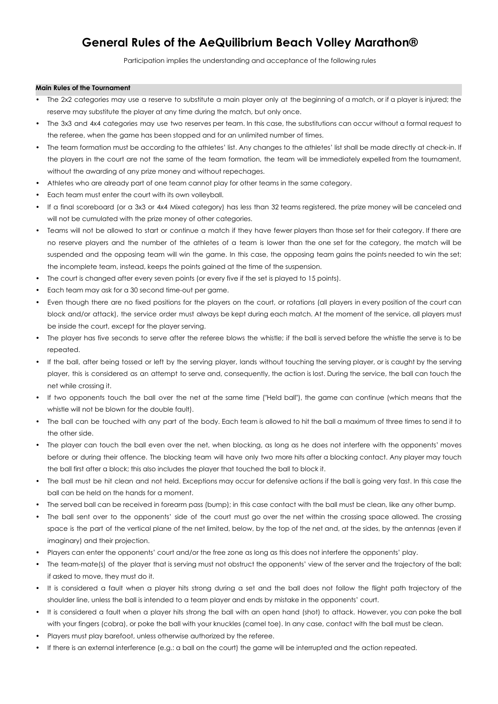# **General Rules of the AeQuilibrium Beach Volley Marathon®**

Participation implies the understanding and acceptance of the following rules

# **Main Rules of the Tournament**

- The 2x2 categories may use a reserve to substitute a main player only at the beginning of a match, or if a player is injured; the reserve may substitute the player at any time during the match, but only once.
- The 3x3 and 4x4 categories may use two reserves per team. In this case, the substitutions can occur without a formal request to the referee, when the game has been stopped and for an unlimited number of times.
- The team formation must be according to the athletes' list. Any changes to the athletes' list shall be made directly at check-in. If the players in the court are not the same of the team formation, the team will be immediately expelled from the tournament, without the awarding of any prize money and without repechages.
- Athletes who are already part of one team cannot play for other teams in the same category.
- Each team must enter the court with its own volleyball.
- If a final scoreboard (or a 3x3 or 4x4 Mixed category) has less than 32 teams registered, the prize money will be canceled and will not be cumulated with the prize money of other categories.
- Teams will not be allowed to start or continue a match if they have fewer players than those set for their category. If there are no reserve players and the number of the athletes of a team is lower than the one set for the category, the match will be suspended and the opposing team will win the game. In this case, the opposing team gains the points needed to win the set; the incomplete team, instead, keeps the points gained at the time of the suspension.
- The court is changed after every seven points (or every five if the set is played to 15 points).
- Each team may ask for a 30 second time-out per game.
- Even though there are no fixed positions for the players on the court, or rotations (all players in every position of the court can block and/or attack), the service order must always be kept during each match. At the moment of the service, all players must be inside the court, except for the player serving.
- The player has five seconds to serve after the referee blows the whistle; if the ball is served before the whistle the serve is to be repeated.
- If the ball, after being tossed or left by the serving player, lands without touching the serving player, or is caught by the serving player, this is considered as an attempt to serve and, consequently, the action is lost. During the service, the ball can touch the net while crossing it.
- If two opponents touch the ball over the net at the same time ("Held ball"), the game can continue (which means that the whistle will not be blown for the double fault).
- The ball can be touched with any part of the body. Each team is allowed to hit the ball a maximum of three times to send it to the other side.
- The player can touch the ball even over the net, when blocking, as long as he does not interfere with the opponents' moves before or during their offence. The blocking team will have only two more hits after a blocking contact. Any player may touch the ball first after a block; this also includes the player that touched the ball to block it.
- The ball must be hit clean and not held. Exceptions may occur for defensive actions if the ball is going very fast. In this case the ball can be held on the hands for a moment.
- The served ball can be received in forearm pass (bump); in this case contact with the ball must be clean, like any other bump.
- The ball sent over to the opponents' side of the court must go over the net within the crossing space allowed. The crossing space is the part of the vertical plane of the net limited, below, by the top of the net and, at the sides, by the antennas (even if imaginary) and their projection.
- Players can enter the opponents' court and/or the free zone as long as this does not interfere the opponents' play.
- The team-mate(s) of the player that is serving must not obstruct the opponents' view of the server and the trajectory of the ball; if asked to move, they must do it.
- It is considered a fault when a player hits strong during a set and the ball does not follow the flight path trajectory of the shoulder line, unless the ball is intended to a team player and ends by mistake in the opponents' court.
- It is considered a fault when a player hits strong the ball with an open hand (shot) to attack. However, you can poke the ball with your fingers (cobra), or poke the ball with your knuckles (camel toe). In any case, contact with the ball must be clean.
- Players must play barefoot, unless otherwise authorized by the referee.
- If there is an external interference (e.g.: a ball on the court) the game will be interrupted and the action repeated.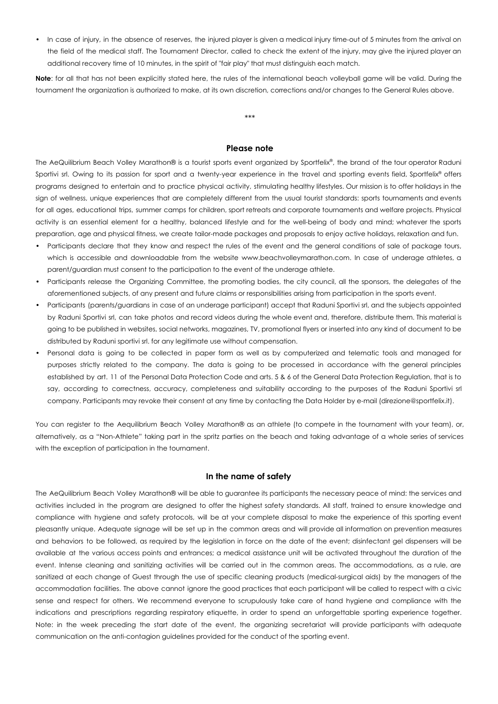In case of injury, in the absence of reserves, the injured player is given a medical injury time-out of 5 minutes from the arrival on the field of the medical staff. The Tournament Director, called to check the extent of the injury, may give the injured player an additional recovery time of 10 minutes, in the spirit of "fair play" that must distinguish each match.

**Note**: for all that has not been explicitly stated here, the rules of the international beach volleyball game will be valid. During the tournament the organization is authorized to make, at its own discretion, corrections and/or changes to the General Rules above.

\*\*\*

# **Please note**

The AeQuilibrium Beach Volley Marathon® is a tourist sports event organized by Sportfelix ® , the brand of the tour operator Raduni Sportivi srl. Owing to its passion for sport and a twenty-year experience in the travel and sporting events field, Sportfelix® offers programs designed to entertain and to practice physical activity, stimulating healthy lifestyles. Our mission is to offer holidays in the sign of wellness, unique experiences that are completely different from the usual tourist standards: sports tournaments and events for all ages, educational trips, summer camps for children, sport retreats and corporate tournaments and welfare projects. Physical activity is an essential element for a healthy, balanced lifestyle and for the well-being of body and mind; whatever the sports preparation, age and physical fitness, we create tailor-made packages and proposals to enjoy active holidays, relaxation and fun.

- Participants declare that they know and respect the rules of the event and the general conditions of sale of package tours, which is accessible and downloadable from the website www.beachvolleymarathon.com. In case of underage athletes, a parent/guardian must consent to the participation to the event of the underage athlete.
- Participants release the Organizing Committee, the promoting bodies, the city council, all the sponsors, the delegates of the aforementioned subjects, of any present and future claims or responsibilities arising from participation in the sports event.
- Participants (parents/guardians in case of an underage participant) accept that Raduni Sportivi srl, and the subjects appointed by Raduni Sportivi srl, can take photos and record videos during the whole event and, therefore, distribute them. This material is going to be published in websites, social networks, magazines, TV, promotional flyers or inserted into any kind of document to be distributed by Raduni sportivi srl. for any legitimate use without compensation.
- Personal data is going to be collected in paper form as well as by computerized and telematic tools and managed for purposes strictly related to the company. The data is going to be processed in accordance with the general principles established by art. 11 of the Personal Data Protection Code and arts. 5 & 6 of the General Data Protection Regulation, that is to say, according to correctness, accuracy, completeness and suitability according to the purposes of the Raduni Sportivi srl company. Participants may revoke their consent at any time by contacting the Data Holder by e-mail (direzione@sportfelix.it).

You can register to the Aequilibrium Beach Volley Marathon® as an athlete (to compete in the tournament with your team), or, alternatively, as a "Non-Athlete" taking part in the spritz parties on the beach and taking advantage of a whole series of services with the exception of participation in the tournament.

# **In the name of safety**

The AeQuilibrium Beach Volley Marathon® will be able to guarantee its participants the necessary peace of mind: the services and activities included in the program are designed to offer the highest safety standards. All staff, trained to ensure knowledge and compliance with hygiene and safety protocols, will be at your complete disposal to make the experience of this sporting event pleasantly unique. Adequate signage will be set up in the common areas and will provide all information on prevention measures and behaviors to be followed, as required by the legislation in force on the date of the event; disinfectant gel dispensers will be available at the various access points and entrances; a medical assistance unit will be activated throughout the duration of the event. Intense cleaning and sanitizing activities will be carried out in the common areas. The accommodations, as a rule, are sanitized at each change of Guest through the use of specific cleaning products (medical-surgical aids) by the managers of the accommodation facilities. The above cannot ignore the good practices that each participant will be called to respect with a civic sense and respect for others. We recommend everyone to scrupulously take care of hand hygiene and compliance with the indications and prescriptions regarding respiratory etiquette, in order to spend an unforgettable sporting experience together. Note: in the week preceding the start date of the event, the organizing secretariat will provide participants with adequate communication on the anti-contagion guidelines provided for the conduct of the sporting event.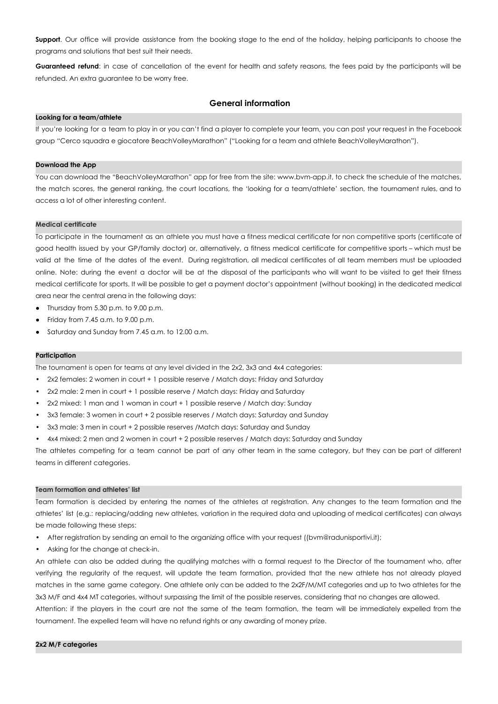**Support**. Our office will provide assistance from the booking stage to the end of the holiday, helping participants to choose the programs and solutions that best suit their needs.

**Guaranteed refund**: in case of cancellation of the event for health and safety reasons, the fees paid by the participants will be refunded. An extra guarantee to be worry free.

# **General information**

# **Looking for a team/athlete**

If you're looking for a team to play in or you can't find a player to complete your team, you can post your request in the Facebook group "Cerco squadra e giocatore BeachVolleyMarathon" ("Looking for a team and athlete BeachVolleyMarathon").

# **Download the App**

You can download the "BeachVolleyMarathon" app for free from the site: [www.bvm-app.it](http://www.bvm-app.it), to check the schedule of the matches, the match scores, the general ranking, the court locations, the 'looking for a team/athlete' section, the tournament rules, and to access a lot of other interesting content.

## **Medical certificate**

To participate in the tournament as an athlete you must have a fitness medical certificate for non competitive sports (certificate of good health issued by your GP/family doctor) or, alternatively, a fitness medical certificate for competitive sports – which must be valid at the time of the dates of the event. During registration, all medical certificates of all team members must be uploaded online. Note: during the event a doctor will be at the disposal of the participants who will want to be visited to get their fitness medical certificate for sports. It will be possible to get a payment doctor's appointment (without booking) in the dedicated medical area near the central arena in the following days:

- Thursday from 5.30 p.m. to 9.00 p.m.
- $\bullet$  Friday from 7.45 a.m. to 9.00 p.m.
- Saturday and Sunday from 7.45 a.m. to 12.00 a.m.

## **Participation**

The tournament is open for teams at any level divided in the 2x2, 3x3 and 4x4 categories:

- 2x2 females: 2 women in court + 1 possible reserve / Match days: Friday and Saturday
- 2x2 male: 2 men in court + 1 possible reserve / Match days: Friday and Saturday
- 2x2 mixed: 1 man and 1 woman in court + 1 possible reserve / Match day: Sunday
- 3x3 female: 3 women in court + 2 possible reserves / Match days: Saturday and Sunday
- 3x3 male: 3 men in court + 2 possible reserves /Match days: Saturday and Sunday
- 4x4 mixed: 2 men and 2 women in court + 2 possible reserves / Match days: Saturday and Sunday

The athletes competing for a team cannot be part of any other team in the same category, but they can be part of different teams in different categories.

## **Team formation and athletes' list**

Team formation is decided by entering the names of the athletes at registration. Any changes to the team formation and the athletes' list (e.g.: replacing/adding new athletes, variation in the required data and uploading of medical certificates) can always be made following these steps:

- After registration by sending an email to the organizing office with your request ([\(bvm@radunisportivi.it](mailto:bvm@radunisportivi.it));
- Asking for the change at check-in.

An athlete can also be added during the qualifying matches with a formal request to the Director of the tournament who, after verifying the regularity of the request, will update the team formation, provided that the new athlete has not already played matches in the same game category. One athlete only can be added to the 2x2F/M/MT categories and up to two athletes for the 3x3 M/F and 4x4 MT categories, without surpassing the limit of the possible reserves, considering that no changes are allowed.

Attention: if the players in the court are not the same of the team formation, the team will be immediately expelled from the tournament. The expelled team will have no refund rights or any awarding of money prize.

# **2x2 M/F categories**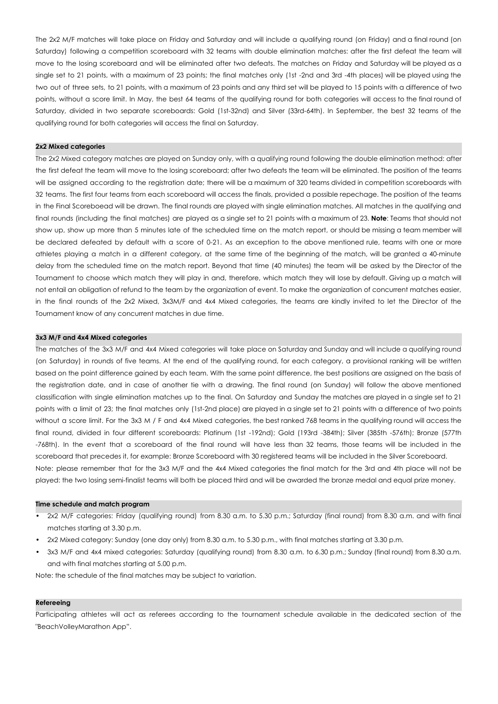The 2x2 M/F matches will take place on Friday and Saturday and will include a qualifying round (on Friday) and a final round (on Saturday) following a competition scoreboard with 32 teams with double elimination matches: after the first defeat the team will move to the losing scoreboard and will be eliminated after two defeats. The matches on Friday and Saturday will be played as a single set to 21 points, with a maximum of 23 points; the final matches only (1st -2nd and 3rd -4th places) will be played using the two out of three sets, to 21 points, with a maximum of 23 points and any third set will be played to 15 points with a difference of two points, without a score limit. In May, the best 64 teams of the qualifying round for both categories will access to the final round of Saturday, divided in two separate scoreboards: Gold (1st-32nd) and Silver (33rd-64th). In September, the best 32 teams of the qualifying round for both categories will access the final on Saturday.

## **2x2 Mixed categories**

The 2x2 Mixed category matches are played on Sunday only, with a qualifying round following the double elimination method: after the first defeat the team will move to the losing scoreboard; after two defeats the team will be eliminated. The position of the teams will be assigned according to the registration date; there will be a maximum of 320 teams divided in competition scoreboards with 32 teams. The first four teams from each scoreboard will access the finals, provided a possible repechage. The position of the teams in the Final Scoreboead will be drawn. The final rounds are played with single elimination matches. All matches in the qualifying and final rounds (including the final matches) are played as a single set to 21 points with a maximum of 23. **Note**: Teams that should not show up, show up more than 5 minutes late of the scheduled time on the match report, or should be missing a team member will be declared defeated by default with a score of 0-21. As an exception to the above mentioned rule, teams with one or more athletes playing a match in a different category, at the same time of the beginning of the match, will be granted a 40-minute delay from the scheduled time on the match report. Beyond that time (40 minutes) the team will be asked by the Director of the Tournament to choose which match they will play in and, therefore, which match they will lose by default. Giving up a match will not entail an obligation of refund to the team by the organization of event. To make the organization of concurrent matches easier, in the final rounds of the 2x2 Mixed, 3x3M/F and 4x4 Mixed categories, the teams are kindly invited to let the Director of the Tournament know of any concurrent matches in due time.

## **3x3 M/F and 4x4 Mixed categories**

The matches of the 3x3 M/F and 4x4 Mixed categories will take place on Saturday and Sunday and will include a qualifying round (on Saturday) in rounds of five teams. At the end of the qualifying round, for each category, a provisional ranking will be written based on the point difference gained by each team. With the same point difference, the best positions are assigned on the basis of the registration date, and in case of another tie with a drawing. The final round (on Sunday) will follow the above mentioned classification with single elimination matches up to the final. On Saturday and Sunday the matches are played in a single set to 21 points with a limit of 23; the final matches only (1st-2nd place) are played in a single set to 21 points with a difference of two points without a score limit. For the 3x3 M / F and 4x4 Mixed categories, the best ranked 768 teams in the qualifying round will access the final round, divided in four different scoreboards: Platinum (1st -192nd); Gold (193rd -384th); Silver (385th -576th); Bronze (577th -768th). In the event that a scoreboard of the final round will have less than 32 teams, those teams will be included in the scoreboard that precedes it, for example: Bronze Scoreboard with 30 registered teams will be included in the Silver Scoreboard. Note: please remember that for the 3x3 M/F and the 4x4 Mixed categories the final match for the 3rd and 4th place will not be played: the two losing semi-finalist teams will both be placed third and will be awarded the bronze medal and equal prize money.

#### **Time schedule and match program**

- 2x2 M/F categories: Friday (qualifying round) from 8.30 a.m. to 5.30 p.m.; Saturday (final round) from 8.30 a.m. and with final matches starting at 3.30 p.m.
- 2x2 Mixed category: Sunday (one day only) from 8.30 a.m. to 5.30 p.m., with final matches starting at 3.30 p.m.
- 3x3 M/F and 4x4 mixed categories: Saturday (qualifying round) from 8.30 a.m. to 6.30 p.m.; Sunday (final round) from 8.30 a.m. and with final matches starting at 5.00 p.m.

Note: the schedule of the final matches may be subject to variation.

## **Refereeing**

Participating athletes will act as referees according to the tournament schedule available in the dedicated section of the "BeachVolleyMarathon App".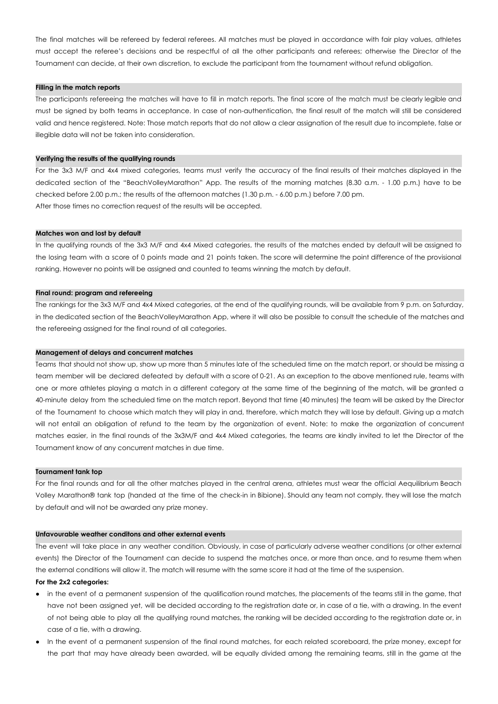The final matches will be refereed by federal referees. All matches must be played in accordance with fair play values, athletes must accept the referee's decisions and be respectful of all the other participants and referees; otherwise the Director of the Tournament can decide, at their own discretion, to exclude the participant from the tournament without refund obligation.

# **Filling in the match reports**

The participants refereeing the matches will have to fill in match reports. The final score of the match must be clearly legible and must be signed by both teams in acceptance. In case of non-authentication, the final result of the match will still be considered valid and hence registered. Note: Those match reports that do not allow a clear assignation of the result due to incomplete, false or illegible data will not be taken into consideration.

## **Verifying the results of the qualifying rounds**

For the 3x3 M/F and 4x4 mixed categories, teams must verify the accuracy of the final results of their matches displayed in the dedicated section of the "BeachVolleyMarathon" App. The results of the morning matches (8.30 a.m. - 1.00 p.m.) have to be checked before 2.00 p.m.; the results of the afternoon matches (1.30 p.m. - 6.00 p.m.) before 7.00 pm. After those times no correction request of the results will be accepted.

## **Matches won and lost by default**

In the qualifying rounds of the 3x3 M/F and 4x4 Mixed categories, the results of the matches ended by default will be assigned to the losing team with a score of 0 points made and 21 points taken. The score will determine the point difference of the provisional ranking. However no points will be assigned and counted to teams winning the match by default.

#### **Final round: program and refereeing**

The rankings for the 3x3 M/F and 4x4 Mixed categories, at the end of the qualifying rounds, will be available from 9 p.m. on Saturday, in the dedicated section of the BeachVolleyMarathon App, where it will also be possible to consult the schedule of the matches and the refereeing assigned for the final round of all categories.

## **Management of delays and concurrent matches**

Teams that should not show up, show up more than 5 minutes late of the scheduled time on the match report, or should be missing a team member will be declared defeated by default with a score of 0-21. As an exception to the above mentioned rule, teams with one or more athletes playing a match in a different category at the same time of the beginning of the match, will be granted a 40-minute delay from the scheduled time on the match report. Beyond that time (40 minutes) the team will be asked by the Director of the Tournament to choose which match they will play in and, therefore, which match they will lose by default. Giving up a match will not entail an obligation of refund to the team by the organization of event. Note: to make the organization of concurrent matches easier, in the final rounds of the 3x3M/F and 4x4 Mixed categories, the teams are kindly invited to let the Director of the Tournament know of any concurrent matches in due time.

## **Tournament tank top**

For the final rounds and for all the other matches played in the central arena, athletes must wear the official Aequilibrium Beach Volley Marathon® tank top (handed at the time of the check-in in Bibione). Should any team not comply, they will lose the match by default and will not be awarded any prize money.

# **Unfavourable weather conditons and other external events**

The event will take place in any weather condition. Obviously, in case of particularly adverse weather conditions (or other external events) the Director of the Tournament can decide to suspend the matches once, or more than once, and to resume them when the external conditions will allow it. The match will resume with the same score it had at the time of the suspension.

## **For the 2x2 categories:**

- in the event of a permanent suspension of the qualification round matches, the placements of the teams still in the game, that have not been assigned yet, will be decided according to the registration date or, in case of a tie, with a drawing. In the event of not being able to play all the qualifying round matches, the ranking will be decided according to the registration date or, in case of a tie, with a drawing.
- In the event of a permanent suspension of the final round matches, for each related scoreboard, the prize money, except for the part that may have already been awarded, will be equally divided among the remaining teams, still in the game at the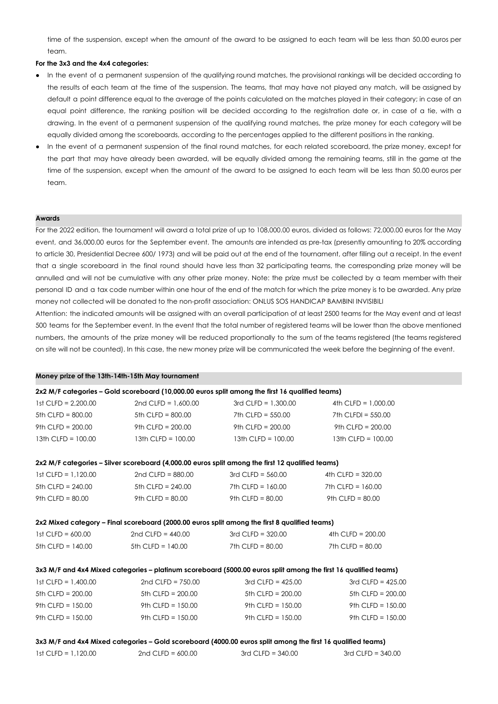time of the suspension, except when the amount of the award to be assigned to each team will be less than 50.00 euros per team.

# **For the 3x3 and the 4x4 categories:**

- In the event of a permanent suspension of the qualifying round matches, the provisional rankings will be decided according to the results of each team at the time of the suspension. The teams, that may have not played any match, will be assigned by default a point difference equal to the average of the points calculated on the matches played in their category; in case of an equal point difference, the ranking position will be decided according to the registration date or, in case of a tie, with a drawing. In the event of a permanent suspension of the qualifying round matches, the prize money for each category will be equally divided among the scoreboards, according to the percentages applied to the different positions in the ranking.
- In the event of a permanent suspension of the final round matches, for each related scoreboard, the prize money, except for the part that may have already been awarded, will be equally divided among the remaining teams, still in the game at the time of the suspension, except when the amount of the award to be assigned to each team will be less than 50.00 euros per team.

## **Awards**

For the 2022 edition, the tournament will award a total prize of up to 108,000.00 euros, divided as follows: 72,000.00 euros for the May event, and 36,000.00 euros for the September event. The amounts are intended as pre-tax (presently amounting to 20% according to article 30, Presidential Decree 600/ 1973) and will be paid out at the end of the tournament, after filling out a receipt. In the event that a single scoreboard in the final round should have less than 32 participating teams, the corresponding prize money will be annulled and will not be cumulative with any other prize money. Note: the prize must be collected by a team member with their personal ID and a tax code number within one hour of the end of the match for which the prize money is to be awarded. Any prize money not collected will be donated to the non-profit association: ONLUS SOS HANDICAP BAMBINI INVISIBILI

Attention: the indicated amounts will be assigned with an overall participation of at least 2500 teams for the May event and at least 500 teams for the September event. In the event that the total number of registered teams will be lower than the above mentioned numbers, the amounts of the prize money will be reduced proportionally to the sum of the teams registered (the teams registered on site will not be counted). In this case, the new money prize will be communicated the week before the beginning of the event.

# **Money prize of the 13th-14th-15th May tournament**

| 2x2 M/F categories – Gold scoreboard (10,000.00 euros split among the first 16 qualified teams) |                        |                        |                        |
|-------------------------------------------------------------------------------------------------|------------------------|------------------------|------------------------|
| 1st CLFD = $2.200.00$                                                                           | 2nd CLFD = $1.600.00$  | $3rd$ CLFD = 1.300.00  | 4th CLFD = $1,000.00$  |
| 5th CLFD = $800.00$                                                                             | $5th$ CLFD = 800.00    | 7th CLFD = $550.00$    | 7th CLFDI = $550.00$   |
| 9th CLFD = $200.00$                                                                             | 9th CLFD = $200.00$    | 9th CLFD = $200.00$    | 9th CLFD = $200.00$    |
| $13th$ CLFD = $100.00$                                                                          | $13th$ CLFD = $100.00$ | $13th$ CLFD = $100.00$ | $13th$ CLFD = $100.00$ |

#### **2x2 M/F categories – Silver scoreboard (4,000.00 euros split among the first 12 qualified teams)**

| $1st$ CLFD = $1.120.00$ | 2nd CLFD = $880.00$ | $3rd$ CI FD = 560.00 | 4th CLFD = $320.00$ |
|-------------------------|---------------------|----------------------|---------------------|
| 5th CLFD = $240.00$     | 5th CLFD = $240.00$ | 7th CLFD = 160.00    | 7th CLFD = $160.00$ |
| 9th CI FD = $80.00$     | 9th CI FD = $80.00$ | 9th CLFD = $80.00$   | 9th CLFD = $80.00$  |

#### **2x2 Mixed category – Final scoreboard (2000.00 euros split among the first 8 qualified teams)**

| $1st$ CLFD = 600.00 | 2nd CLFD = $440.00$ | $3rd$ CLFD = $320.00$ | 4th CLFD = $200.00$ |
|---------------------|---------------------|-----------------------|---------------------|
| 5th CLFD = $140.00$ | 5th CLFD = $140.00$ | 7th CLFD = $80.00$    | 7th CLFD = $80.00$  |

## 3x3 M/F and 4x4 Mixed categories - platinum scoreboard (5000.00 euros split among the first 16 qualified teams)

| $1st$ CLFD = $1.400.00$ | 2nd CLFD = $750.00$ | $3rd$ CLFD = 425.00 | $3rd$ CLFD = 425.00 |
|-------------------------|---------------------|---------------------|---------------------|
| 5th CLFD = $200.00$     | 5th CLFD = $200.00$ | 5th CLFD = $200.00$ | 5th CLFD = $200.00$ |
| 9th CLFD = $150.00$     | 9th CLFD = $150.00$ | 9th CLFD = $150.00$ | 9th CLFD = $150.00$ |
| 9th CLFD = $150.00$     | 9th CLFD = $150.00$ | 9th CLFD = $150.00$ | 9th CLFD = $150.00$ |

#### 3x3 M/F and 4x4 Mixed categories - Gold scoreboard (4000.00 euros split among the first 16 qualified teams)

| 1st CLFD = 1.120.00 | 2nd CLFD = $600.00$ | $3rd$ CLFD = $340.00$ | $3rd$ CLFD = $340.00$ |
|---------------------|---------------------|-----------------------|-----------------------|
|                     |                     |                       |                       |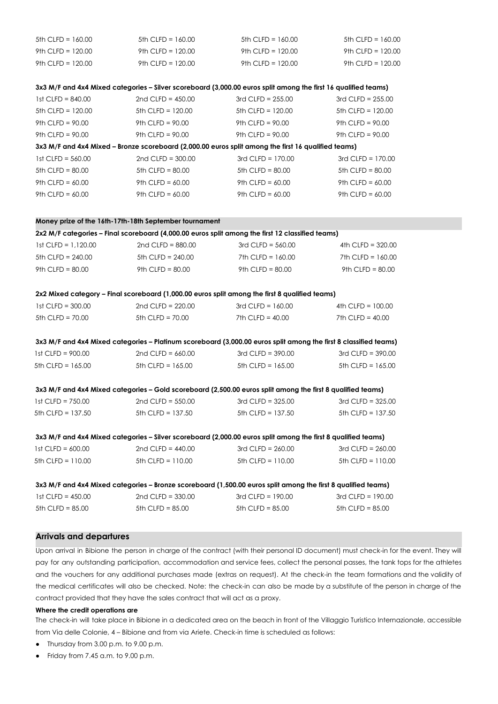| 5th $CLFD = 160.00$     | 5th $CLFD = 160.00$                                    | 5th $CLFD = 160.00$                                                                                              | 5th $CLFD = 160.00$   |  |
|-------------------------|--------------------------------------------------------|------------------------------------------------------------------------------------------------------------------|-----------------------|--|
| 9th CLFD = $120.00$     | 9th $CLFD = 120.00$                                    | 9th CLFD = $120.00$                                                                                              | 9th CLFD = $120.00$   |  |
| 9th CLFD = $120.00$     | 9th $CLFD = 120.00$                                    | 9th CLFD = $120.00$                                                                                              | 9th CLFD = $120.00$   |  |
|                         |                                                        | 3x3 M/F and 4x4 Mixed categories - Silver scoreboard (3,000.00 euros split among the first 16 qualified teams)   |                       |  |
| 1st $CLFD = 840.00$     | 2nd CLFD = $450.00$                                    | 3rd CLFD = $255.00$                                                                                              | 3rd CLFD = $255.00$   |  |
| 5th $CLFD = 120.00$     | 5th $CLFD = 120.00$                                    | 5th $CLFD = 120.00$                                                                                              | 5th $CLFD = 120.00$   |  |
| 9th $CLFD = 90.00$      | $9th$ CLFD = $90.00$                                   | 9th $CLFD = 90.00$                                                                                               | 9th CLFD = $90.00$    |  |
| 9th CLFD = $90.00$      | $9th$ CLFD = $90.00$                                   | 9th CLFD = $90.00$                                                                                               | 9th CLFD = $90.00$    |  |
|                         |                                                        | 3x3 M/F and 4x4 Mixed - Bronze scoreboard (2,000.00 euros split among the first 16 qualified teams)              |                       |  |
| 1st $CLFD = 560.00$     | 2nd CLFD = $300.00$                                    | 3rd CLFD = $170.00$                                                                                              | 3rd CLFD = $170.00$   |  |
| 5th $CLFD = 80.00$      | $5th$ CLFD = $80.00$                                   | 5th $CLFD = 80.00$                                                                                               | $5th$ CLFD = $80.00$  |  |
| 9th $CLFD = 60.00$      | 9th $CLFD = 60.00$                                     | 9th CLFD = $60.00$                                                                                               | 9th CLFD = $60.00$    |  |
| 9th $CLFD = 60.00$      | 9th CLFD = $60.00$                                     | 9th CLFD = $60.00$                                                                                               | 9th $CLFD = 60.00$    |  |
|                         | Money prize of the 16th-17th-18th September tournament |                                                                                                                  |                       |  |
|                         |                                                        | 2x2 M/F categories - Final scoreboard (4,000.00 euros split among the first 12 classified teams)                 |                       |  |
| $1st$ CLFD = $1,120.00$ | 2nd CLFD = $880.00$                                    | $3rd$ CLFD = $560.00$                                                                                            | 4th CLFD = $320.00$   |  |
| 5th $CLFD = 240.00$     | 5th $CLFD = 240.00$                                    | 7th $CLFD = 160.00$                                                                                              | 7th $CLFD = 160.00$   |  |
| 9th $CLFD = 80.00$      | 9th $CLFD = 80.00$                                     | 9th $CLFD = 80.00$                                                                                               | 9th $CLFD = 80.00$    |  |
|                         |                                                        | 2x2 Mixed category - Final scoreboard (1,000.00 euros split among the first 8 qualified teams)                   |                       |  |
| 1st $CLFD = 300.00$     | 2nd CLFD = $220.00$                                    | 3rd CLFD = $160.00$                                                                                              | 4th $CLFD = 100.00$   |  |
| 5th $CLFD = 70.00$      | 5th $CLFD = 70.00$                                     | 7th $CLFD = 40.00$                                                                                               | 7th $CLFD = 40.00$    |  |
|                         |                                                        | 3x3 M/F and 4x4 Mixed categories - Platinum scoreboard (3,000.00 euros split among the first 8 classified teams) |                       |  |
| 1st $CLFD = 900.00$     | 2nd CLFD = $660.00$                                    | $3rd$ CLFD = $390.00$                                                                                            | $3rd$ CLFD = $390.00$ |  |
| 5th $CLFD = 165.00$     | 5th $CLFD = 165.00$                                    | 5th $CLFD = 165.00$                                                                                              | 5th $CLFD = 165.00$   |  |
|                         |                                                        | 3x3 M/F and 4x4 Mixed categories - Gold scoreboard (2,500.00 euros split among the first 8 qualified teams)      |                       |  |
| 1st $CLFD = 750.00$     | 2nd CLFD = $550.00$                                    | 3rd CLFD = $325.00$                                                                                              | 3rd CLFD = $325.00$   |  |
| 5th CLFD = 137.50       | 5th CLFD = 137.50                                      | 5th CLFD = 137.50                                                                                                | $5th$ CLFD = 137.50   |  |
|                         |                                                        | 3x3 M/F and 4x4 Mixed categories - Silver scoreboard (2,000.00 euros split among the first 8 qualified teams)    |                       |  |
| 1st $CLFD = 600.00$     | 2nd CLFD = $440.00$                                    | $3rd$ CLFD = 260.00                                                                                              | 3rd CLFD = $260.00$   |  |
| 5th $CLFD = 110.00$     | 5th $CLFD = 110.00$                                    | 5th CLFD = $110.00$                                                                                              | 5th $CLFD = 110.00$   |  |
|                         |                                                        | 3x3 M/F and 4x4 Mixed categories - Bronze scoreboard (1,500.00 euros split among the first 8 qualified teams)    |                       |  |
| 1st $CLFD = 450.00$     | 2nd CLFD = $330.00$                                    | 3rd $CLFD = 190.00$                                                                                              | 3rd CLFD = $190.00$   |  |
| $5th$ CLFD = $85.00$    | $5th$ CLFD = $85.00$                                   | 5th $CLFD = 85.00$                                                                                               | $5th$ CLFD = $85.00$  |  |

# **Arrivals and departures**

Upon arrival in Bibione the person in charge of the contract (with their personal ID document) must check-in for the event. They will pay for any outstanding participation, accommodation and service fees, collect the personal passes, the tank tops for the athletes and the vouchers for any additional purchases made (extras on request). At the check-in the team formations and the validity of the medical certificates will also be checked. Note: the check-in can also be made by a substitute of the person in charge of the contract provided that they have the sales contract that will act as a proxy.

## **Where the credit operations are**

The check-in will take place in Bibione in a dedicated area on the beach in front of the Villaggio Turistico Internazionale, accessible from Via delle Colonie, 4 – Bibione and from via Ariete. Check-in time is scheduled as follows:

- Thursday from 3.00 p.m. to 9.00 p.m.
- $\bullet$  Friday from 7.45 a.m. to 9.00 p.m.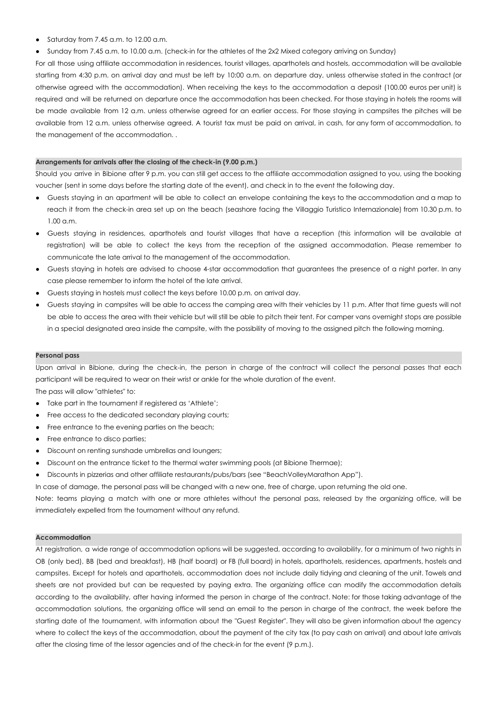- Saturday from 7.45 a.m. to 12.00 a.m.
- Sunday from 7.45 a.m. to 10.00 a.m. (check-in for the athletes of the 2x2 Mixed category arriving on Sunday)

For all those using affiliate accommodation in residences, tourist villages, aparthotels and hostels, accommodation will be available starting from 4:30 p.m. on arrival day and must be left by 10:00 a.m. on departure day, unless otherwise stated in the contract (or otherwise agreed with the accommodation). When receiving the keys to the accommodation a deposit (100.00 euros per unit) is required and will be returned on departure once the accommodation has been checked. For those staying in hotels the rooms will be made available from 12 a.m. unless otherwise agreed for an earlier access. For those staying in campsites the pitches will be available from 12 a.m. unless otherwise agreed. A tourist tax must be paid on arrival, in cash, for any form of accommodation, to the management of the accommodation. .

# **Arrangements for arrivals after the closing of the check-in (9.00 p.m.)**

Should you arrive in Bibione after 9 p.m. you can still get access to the affiliate accommodation assigned to you, using the booking voucher (sent in some days before the starting date of the event), and check in to the event the following day.

- Guests staying in an apartment will be able to collect an envelope containing the keys to the accommodation and a map to reach it from the check-in area set up on the beach (seashore facing the Villaggio Turistico Internazionale) from 10.30 p.m. to 1.00 a.m.
- Guests staying in residences, aparthotels and tourist villages that have a reception (this information will be available at registration) will be able to collect the keys from the reception of the assigned accommodation. Please remember to communicate the late arrival to the management of the accommodation.
- Guests staying in hotels are advised to choose 4-star accommodation that guarantees the presence of a night porter. In any case please remember to inform the hotel of the late arrival.
- Guests staying in hostels must collect the keys before 10.00 p.m. on arrival day.
- Guests staying in campsites will be able to access the camping area with their vehicles by 11 p.m. After that time guests will not be able to access the area with their vehicle but will still be able to pitch their tent. For camper vans overnight stops are possible in a special designated area inside the campsite, with the possibility of moving to the assigned pitch the following morning.

#### **Personal pass**

Upon arrival in Bibione, during the check-in, the person in charge of the contract will collect the personal passes that each participant will be required to wear on their wrist or ankle for the whole duration of the event.

The pass will allow "athletes" to:

- Take part in the tournament if registered as 'Athlete';
- Free access to the dedicated secondary playing courts;
- Free entrance to the evening parties on the beach;
- Free entrance to disco parties;
- Discount on renting sunshade umbrellas and loungers;
- Discount on the entrance ticket to the thermal water swimming pools (at Bibione Thermae);
- Discounts in pizzerias and other affiliate restaurants/pubs/bars (see "BeachVolleyMarathon App").

In case of damage, the personal pass will be changed with a new one, free of charge, upon returning the old one.

Note: teams playing a match with one or more athletes without the personal pass, released by the organizing office, will be immediately expelled from the tournament without any refund.

# **Accommodation**

At registration, a wide range of accommodation options will be suggested, according to availability, for a minimum of two nights in OB (only bed), BB (bed and breakfast), HB (half board) or FB (full board) in hotels, aparthotels, residences, apartments, hostels and campsites. Except for hotels and aparthotels, accommodation does not include daily tidying and cleaning of the unit. Towels and sheets are not provided but can be requested by paying extra. The organizing office can modify the accommodation details according to the availability, after having informed the person in charge of the contract. Note: for those taking advantage of the accommodation solutions, the organizing office will send an email to the person in charge of the contract, the week before the starting date of the tournament, with information about the "Guest Register". They will also be given information about the agency where to collect the keys of the accommodation, about the payment of the city tax (to pay cash on arrival) and about late arrivals after the closing time of the lessor agencies and of the check-in for the event (9 p.m.).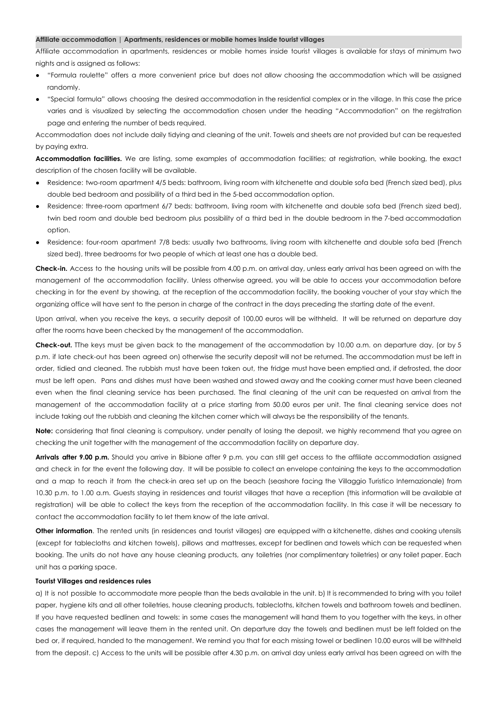#### **Affiliate accommodation | Apartments, residences or mobile homes inside tourist villages**

Affiliate accommodation in apartments, residences or mobile homes inside tourist villages is available for stays of minimum two nights and is assigned as follows:

- "Formula roulette" offers a more convenient price but does not allow choosing the accommodation which will be assigned randomly.
- "Special formula" allows choosing the desired accommodation in the residential complex or in the village. In this case the price varies and is visualized by selecting the accommodation chosen under the heading "Accommodation" on the registration page and entering the number of beds required.

Accommodation does not include daily tidying and cleaning of the unit. Towels and sheets are not provided but can be requested by paying extra.

**Accommodation facilities.** We are listing, some examples of accommodation facilities; at registration, while booking, the exact description of the chosen facility will be available.

- Residence: two-room apartment 4/5 beds: bathroom, living room with kitchenette and double sofa bed (French sized bed), plus double bed bedroom and possibility of a third bed in the 5-bed accommodation option.
- Residence: three-room apartment 6/7 beds: bathroom, living room with kitchenette and double sofa bed (French sized bed), twin bed room and double bed bedroom plus possibility of a third bed in the double bedroom in the 7-bed accommodation option.
- Residence: four-room apartment 7/8 beds: usually two bathrooms, living room with kitchenette and double sofa bed (French sized bed), three bedrooms for two people of which at least one has a double bed.

**Check-in.** Access to the housing units will be possible from 4.00 p.m. on arrival day, unless early arrival has been agreed on with the management of the accommodation facility. Unless otherwise agreed, you will be able to access your accommodation before checking in for the event by showing, at the reception of the accommodation facility, the booking voucher of your stay which the organizing office will have sent to the person in charge of the contract in the days preceding the starting date of the event.

Upon arrival, when you receive the keys, a security deposit of 100.00 euros will be withheld. It will be returned on departure day after the rooms have been checked by the management of the accommodation.

**Check-out.** TThe keys must be given back to the management of the accommodation by 10.00 a.m. on departure day, (or by 5 p.m. if late check-out has been agreed on) otherwise the security deposit will not be returned. The accommodation must be left in order, tidied and cleaned. The rubbish must have been taken out, the fridge must have been emptied and, if defrosted, the door must be left open. Pans and dishes must have been washed and stowed away and the cooking corner must have been cleaned even when the final cleaning service has been purchased. The final cleaning of the unit can be requested on arrival from the management of the accommodation facility at a price starting from 50.00 euros per unit. The final cleaning service does not include taking out the rubbish and cleaning the kitchen corner which will always be the responsibility of the tenants.

**Note:** considering that final cleaning is compulsory, under penalty of losing the deposit, we highly recommend that you agree on checking the unit together with the management of the accommodation facility on departure day.

**Arrivals after 9.00 p.m.** Should you arrive in Bibione after 9 p.m. you can still get access to the affiliate accommodation assigned and check in for the event the following day. It will be possible to collect an envelope containing the keys to the accommodation and a map to reach it from the check-in area set up on the beach (seashore facing the Villaggio Turistico Internazionale) from 10.30 p.m. to 1.00 a.m. Guests staying in residences and tourist villages that have a reception (this information will be available at registration) will be able to collect the keys from the reception of the accommodation facility. In this case it will be necessary to contact the accommodation facility to let them know of the late arrival.

**Other information**. The rented units (in residences and tourist villages) are equipped with a kitchenette, dishes and cooking utensils (except for tablecloths and kitchen towels), pillows and mattresses, except for bedlinen and towels which can be requested when booking. The units do not have any house cleaning products, any toiletries (nor complimentary toiletries) or any toilet paper. Each unit has a parking space.

#### **Tourist Villages and residences rules**

a) It is not possible to accommodate more people than the beds available in the unit. b) It is recommended to bring with you toilet paper, hygiene kits and all other toiletries, house cleaning products, tablecloths, kitchen towels and bathroom towels and bedlinen. If you have requested bedlinen and towels: in some cases the management will hand them to you together with the keys, in other cases the management will leave them in the rented unit. On departure day the towels and bedlinen must be left folded on the bed or, if required, handed to the management. We remind you that for each missing towel or bedlinen 10.00 euros will be withheld from the deposit. c) Access to the units will be possible after 4.30 p.m. on arrival day unless early arrival has been agreed on with the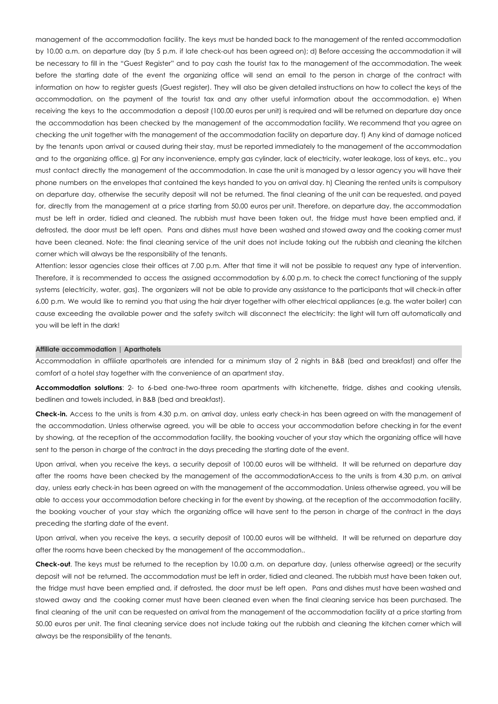management of the accommodation facility. The keys must be handed back to the management of the rented accommodation by 10.00 a.m. on departure day (by 5 p.m. if late check-out has been agreed on); d) Before accessing the accommodation it will be necessary to fill in the "Guest Register" and to pay cash the tourist tax to the management of the accommodation. The week before the starting date of the event the organizing office will send an email to the person in charge of the contract with information on how to register guests (Guest register). They will also be given detailed instructions on how to collect the keys of the accommodation, on the payment of the tourist tax and any other useful information about the accommodation. e) When receiving the keys to the accommodation a deposit (100.00 euros per unit) is required and will be returned on departure day once the accommodation has been checked by the management of the accommodation facility. We recommend that you agree on checking the unit together with the management of the accommodation facility on departure day. f) Any kind of damage noticed by the tenants upon arrival or caused during their stay, must be reported immediately to the management of the accommodation and to the organizing office. g) For any inconvenience, empty gas cylinder, lack of electricity, water leakage, loss of keys, etc., you must contact directly the management of the accommodation. In case the unit is managed by a lessor agency you will have their phone numbers on the envelopes that contained the keys handed to you on arrival day. h) Cleaning the rented units is compulsory on departure day, otherwise the security deposit will not be returned. The final cleaning of the unit can be requested, and payed for, directly from the management at a price starting from 50.00 euros per unit. Therefore, on departure day, the accommodation must be left in order, tidied and cleaned. The rubbish must have been taken out, the fridge must have been emptied and, if defrosted, the door must be left open. Pans and dishes must have been washed and stowed away and the cooking corner must have been cleaned. Note: the final cleaning service of the unit does not include taking out the rubbish and cleaning the kitchen corner which will always be the responsibility of the tenants.

Attention: lessor agencies close their offices at 7.00 p.m. After that time it will not be possible to request any type of intervention. Therefore, it is recommended to access the assigned accommodation by 6.00 p.m. to check the correct functioning of the supply systems (electricity, water, gas). The organizers will not be able to provide any assistance to the participants that will check-in after 6.00 p.m. We would like to remind you that using the hair dryer together with other electrical appliances (e.g. the water boiler) can cause exceeding the available power and the safety switch will disconnect the electricity: the light will turn off automatically and you will be left in the dark!

#### **Affiliate accommodation | Aparthotels**

Accommodation in affiliate aparthotels are intended for a minimum stay of 2 nights in B&B (bed and breakfast) and offer the comfort of a hotel stay together with the convenience of an apartment stay.

**Accommodation solutions**: 2- to 6-bed one-two-three room apartments with kitchenette, fridge, dishes and cooking utensils, bedlinen and towels included, in B&B (bed and breakfast).

**Check-in.** Access to the units is from 4.30 p.m. on arrival day, unless early check-in has been agreed on with the management of the accommodation. Unless otherwise agreed, you will be able to access your accommodation before checking in for the event by showing, at the reception of the accommodation facility, the booking voucher of your stay which the organizing office will have sent to the person in charge of the contract in the days preceding the starting date of the event.

Upon arrival, when you receive the keys, a security deposit of 100.00 euros will be withheld. It will be returned on departure day after the rooms have been checked by the management of the accommodationAccess to the units is from 4.30 p.m. on arrival day, unless early check-in has been agreed on with the management of the accommodation. Unless otherwise agreed, you will be able to access your accommodation before checking in for the event by showing, at the reception of the accommodation facility, the booking voucher of your stay which the organizing office will have sent to the person in charge of the contract in the days preceding the starting date of the event.

Upon arrival, when you receive the keys, a security deposit of 100.00 euros will be withheld. It will be returned on departure day after the rooms have been checked by the management of the accommodation..

**Check-out**. The keys must be returned to the reception by 10.00 a.m. on departure day, (unless otherwise agreed) or the security deposit will not be returned. The accommodation must be left in order, tidied and cleaned. The rubbish must have been taken out, the fridge must have been emptied and, if defrosted, the door must be left open. Pans and dishes must have been washed and stowed away and the cooking corner must have been cleaned even when the final cleaning service has been purchased. The final cleaning of the unit can be requested on arrival from the management of the accommodation facility at a price starting from 50.00 euros per unit. The final cleaning service does not include taking out the rubbish and cleaning the kitchen corner which will always be the responsibility of the tenants.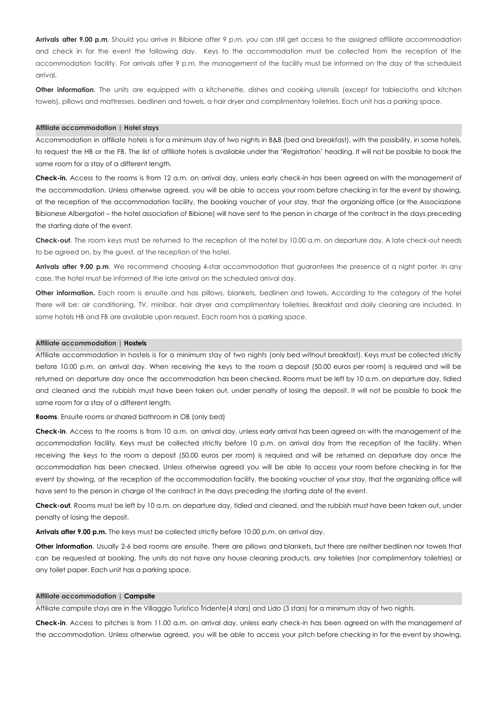**Arrivals after 9.00 p.m**. Should you arrive in Bibione after 9 p.m. you can still get access to the assigned affiliate accommodation and check in for the event the following day. Keys to the accommodation must be collected from the reception of the accommodation facility. For arrivals after 9 p.m. the management of the facility must be informed on the day of the scheduled arrival.

**Other information**. The units are equipped with a kitchenette, dishes and cooking utensils (except for tablecloths and kitchen towels), pillows and mattresses, bedlinen and towels, a hair dryer and complimentary toiletries. Each unit has a parking space.

#### **Affiliate accommodation | Hotel stays**

Accommodation in affiliate hotels is for a minimum stay of two nights in B&B (bed and breakfast), with the possibility, in some hotels, to request the HB or the FB. The list of affiliate hotels is available under the 'Registration' heading. It will not be possible to book the same room for a stay of a different length.

**Check-in.** Access to the rooms is from 12 a.m. on arrival day, unless early check-in has been agreed on with the management of the accommodation. Unless otherwise agreed, you will be able to access your room before checking in for the event by showing, at the reception of the accommodation facility, the booking voucher of your stay, that the organizing office (or the Associazione Bibionese Albergatori – the hotel association of Bibione) will have sent to the person in charge of the contract in the days preceding the starting date of the event.

**Check-out**. The room keys must be returned to the reception of the hotel by 10.00 a.m. on departure day. A late check-out needs to be agreed on, by the guest, at the reception of the hotel.

**Arrivals after 9.00 p.m**. We recommend choosing 4-star accommodation that guarantees the presence of a night porter. In any case, the hotel must be informed of the late arrival on the scheduled arrival day.

**Other information.** Each room is ensuite and has pillows, blankets, bedlinen and towels. According to the category of the hotel there will be: air conditioning, TV, minibar, hair dryer and complimentary toiletries. Breakfast and daily cleaning are included. In some hotels HB and FB are available upon request. Each room has a parking space.

## **Affiliate accommodation | Hostels**

Affiliate accommodation in hostels is for a minimum stay of two nights (only bed without breakfast). Keys must be collected strictly before 10.00 p.m. on arrival day. When receiving the keys to the room a deposit (50.00 euros per room) is required and will be returned on departure day once the accommodation has been checked. Rooms must be left by 10 a.m. on departure day, tidied and cleaned and the rubbish must have been taken out, under penalty of losing the deposit. It will not be possible to book the same room for a stay of a different length.

## **Rooms**. Ensuite rooms or shared bathroom in OB (only bed)

**Check-in**. Access to the rooms is from 10 a.m. on arrival day, unless early arrival has been agreed on with the management of the accommodation facility. Keys must be collected strictly before 10 p.m. on arrival day from the reception of the facility. When receiving the keys to the room a deposit (50.00 euros per room) is required and will be returned on departure day once the accommodation has been checked. Unless otherwise agreed you will be able to access your room before checking in for the event by showing, at the reception of the accommodation facility, the booking voucher of your stay, that the organizing office will have sent to the person in charge of the contract in the days preceding the starting date of the event.

**Check-out**. Rooms must be left by 10 a.m. on departure day, tidied and cleaned, and the rubbish must have been taken out, under penalty of losing the deposit.

**Arrivals after 9.00 p.m.** The keys must be collected strictly before 10.00 p.m. on arrival day.

**Other information**. Usually 2-6 bed rooms are ensuite. There are pillows and blankets, but there are neither bedlinen nor towels that can be requested at booking. The units do not have any house cleaning products, any toiletries (nor complimentary toiletries) or any toilet paper. Each unit has a parking space.

#### **Affiliate accommodation | Campsite**

Affiliate campsite stays are in the Villaggio Turistico Tridente(4 stars) and Lido (3 stars) for a minimum stay of two nights.

**Check-in**. Access to pitches is from 11.00 a.m. on arrival day, unless early check-in has been agreed on with the management of the accommodation. Unless otherwise agreed, you will be able to access your pitch before checking in for the event by showing,